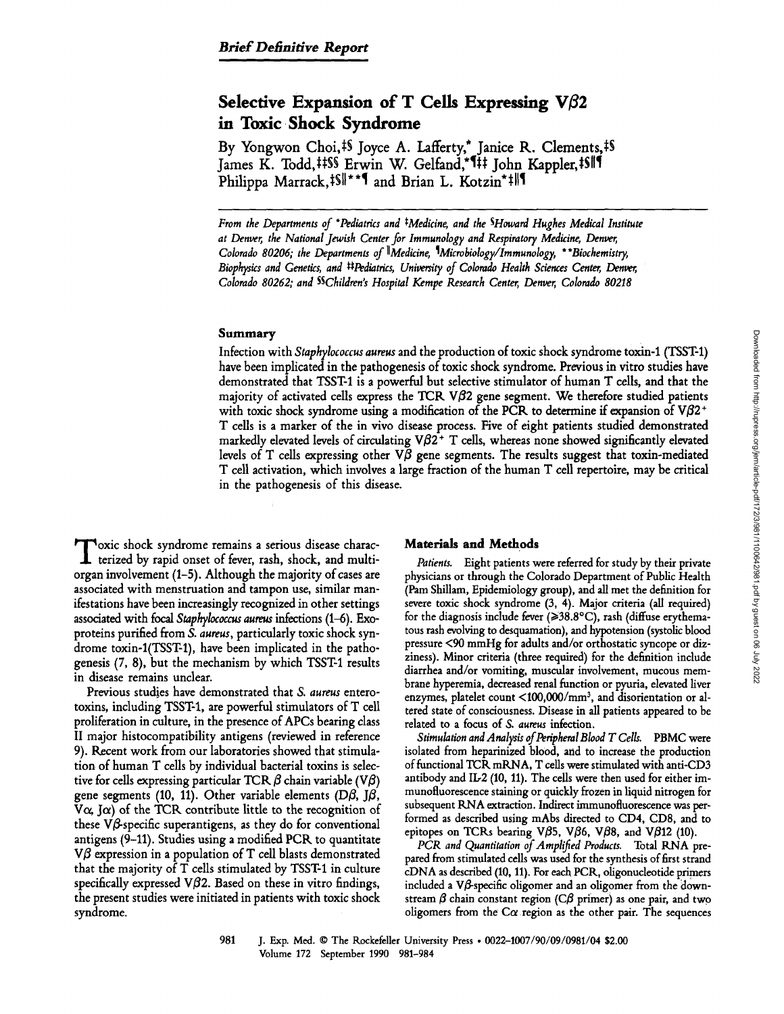# Selective Expansion of T Cells Expressing  $V\beta2$ in Toxic Shock Syndrome

By Yongwon Choi,<sup>†§</sup> Joyce A. Lafferty,<sup>\*</sup> Janice R. Clements,<sup>‡§</sup> James K. Todd,##\$\$ Erwin W. Gelfand,\*1# John Kappler,#\$||1 Philippa Marrack,  $\frac{1}{8}$ ||\*\*\* and Brian L. Kotzin\* #||1

From the Departments of "Pediatrics and #Medicine, and the SHoward Hughes Medical Institute at Denver, the National Jewish Center for Immunology and Respiratory Medicine, Denver, Colorado 80206; the Departments of <sup>||</sup>Medicine, <sup>1</sup>Microbiology/Immunology, \*\*Biochemistry, Biophysics and Genetics, and #Pediatrics, University of Colorado Health Sciences Center, Denver, Colorado 80262, and SSChildren's Hospital Kempe Research Center, Denver, Colorado 80218

#### Summary

Infection with Staphylococcus aureus and the production of toxic shock syndrome toxin-1 (TSST-1) have been implicated in the pathogenesis of toxic shock syndrome. Previous in vitro studies have demonstrated that TSST1 is <sup>a</sup> powerful but selective stimulator of human T cells, and that the majority of activated cells express the TCR  $\nabla \beta$ 2 gene segment. We therefore studied patients with toxic shock syndrome using a modification of the PCR to determine if expansion of  $V\beta2^+$ T cells is <sup>a</sup> marker of the in vivo disease process. Five of eight patients studied demonstrated markedly elevated levels of circulating  $V\beta2^+$  T cells, whereas none showed significantly elevated levels of T cells expressing other  $V\beta$  gene segments. The results suggest that toxin-mediated T cell activation, which involves <sup>a</sup> large fraction of the human T cell repertoire, may be critical in the pathogenesis of this disease.

 $\prod_{\text{orga}}$ oxic shock syndrome remains <sup>a</sup> serious disease characterized by rapid onset of fever, rash, shock, and multiorgan involvement (1-5) . Although the majority of cases are associated with menstruation and tampon use, similar manifestations have been increasingly recognized in other settings associated with focal Staphylococcus aureus infections (1-6) . Exoproteins purified from S. aureus, particularly toxic shock syndrome toxin-1(TSST-1), have been implicated in the pathogenesis (7, 8), but the mechanism by which TSST-1 results in disease remains unclear.

Previous studies have demonstrated that S. aureus enterotoxins, including TSST1, are powerful stimulators of T cell proliferation in culture, in the presence of APCs bearing class II major histocompatibility antigens (reviewed in reference 9). Recent work from our laboratories showed that stimulation of human T cells by individual bacterial toxins is selective for cells expressing particular TCR  $\beta$  chain variable (V $\beta$ ) gene segments (10, 11). Other variable elements (D $\beta$ , J $\beta$ , V $\alpha$ , J $\alpha$ ) of the TCR contribute little to the recognition of these  $V\beta$ -specific superantigens, as they do for conventional antigens (9-11) . Studies using <sup>a</sup> modified PCR to quantitate  $V\beta$  expression in a population of T cell blasts demonstrated that the majority of T cells stimulated by TSST1 in culture specifically expressed V $\beta$ 2. Based on these in vitro findings, the present studies were initiated in patients with toxic shock syndrome.

#### Materials and Methods

Patients. Eight patients were referred for study by their private physicians or through the Colorado Department of Public Health (Pam Shillam, Epidemiology group), and all met the definition for severe toxic shock syndrome (3, 4) . Major criteria (all required) for the diagnosis include fever  $(\geq 38.8^{\circ}C)$ , rash (diffuse erythematous rash evolving to desquamation), and hypotension (systolic blood pressure <90 mmHg for adults and/or orthostatic syncope or dizziness) . Minor criteria (three required) for the definition include diarrhea and/or vomiting, muscular involvement, mucous membrane hyperemia, decreased renal function or pyuria, elevated liver enzymes, platelet count <100,000/mm<sup>3</sup>, and disorientation or altered state of consciousness. Disease in all patients appeared to be related to a focus of S. aureus infection.

Stimulation and Analysis of Peripheral Blood T Cells. PBMC were isolated from heparinized blood, and to increase the production of functional TCR mRNA, T cells were stimulated with anti-CD3 antibody and IL-2 (10, 11). The cells were then used for either immunofluorescence staining or quickly frozen in liquid nitrogen for subsequent RNA extraction. Indirect immunofluorescence was performed as described using mAbs directed to CD4, CD8, and to epitopes on TCRs bearing V $\beta$ 5, V $\beta$ 6, V $\beta$ 8, and V $\beta$ 12 (10).

PCR and Quantitation of Amplified Products. Total RNA prepared from stimulated cells was used for the synthesis of first strand cDNA as described (10, 11) . For each PCR, oligonucleotide primers included a V $\beta$ -specific oligomer and an oligomer from the downstream  $\beta$  chain constant region (C $\beta$  primer) as one pair, and two oligomers from the  $C\alpha$  region as the other pair. The sequences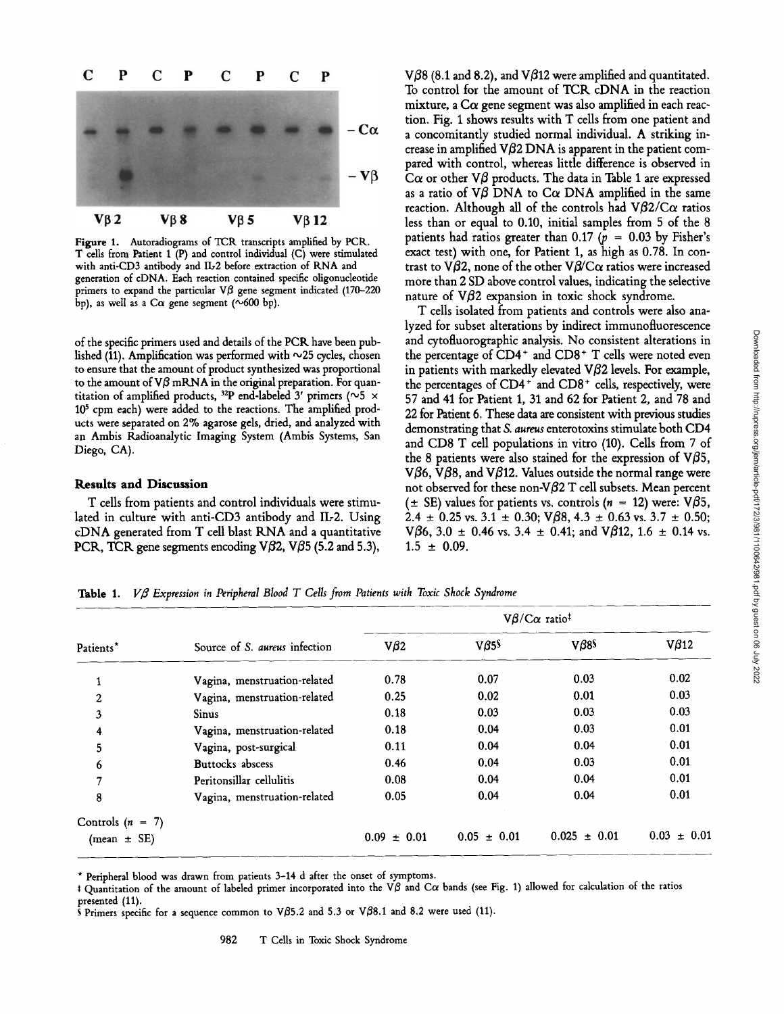Downloaded from http://rupress.org/jem/article-pdf/172/3/981/1100642/981.pdf by guest on 06 July 2022

Downloaded from http://rupress.org/jem/article-pdf/172/3/981/1100642/981.pdf by guest on 06 July 2022



Figure 1. Autoradiograms of TCR transcripts amplified by PCR. T cells from Patient <sup>1</sup> (P) and control individual (C) were stimulated with anti-CD3 antibody and IL2 before extraction of RNA and generation of cDNA. Each reaction contained specific oligonucleotide primers to expand the particular  $\nabla\beta$  gene segment indicated (170-220) bp), as well as a C $\alpha$  gene segment (~600 bp).

of the specific primers used and details of the PCR have been published (11). Amplification was performed with  $\sim$ 25 cycles, chosen to ensure that the amount of product synthesized was proportional to the amount of  $V\beta$  mRNA in the original preparation. For quantitation of amplified products, <sup>32</sup>P end-labeled 3' primers ( $\sim$ 5 × 105 cpm each) were added to the reactions. The amplified products were separated on 2% agarose gels, dried, and analyzed with an Ambis Radioanalytic Imaging System (Ambis Systems, San Diego, CA).

### Results and Discussion

T cells from patients and control individuals were stimulated in culture with anti-CD3 antibody and IL2. Using cDNA generated from T cell blast RNA and <sup>a</sup> quantitative PCR, TCR gene segments encoding V $\beta$ 2, V $\beta$ 5 (5.2 and 5.3),  $V\beta8$  (8.1 and 8.2), and V $\beta12$  were amplified and quantitated. To control for the amount of TCR cDNA in the reaction mixture, a  $C\alpha$  gene segment was also amplified in each reaction. Fig. 1 shows results with T cells from one patient and <sup>a</sup> concomitantly studied normal individual. A striking increase in amplified  $V\beta 2$  DNA is apparent in the patient compared with control, whereas little difference is observed in C $\alpha$  or other V $\beta$  products. The data in Table 1 are expressed as a ratio of V $\beta$  DNA to C $\alpha$  DNA amplified in the same reaction. Although all of the controls had  $V\beta2/C\alpha$  ratios less than or equal to 0.10, initial samples from 5 of the 8 patients had ratios greater than 0.17 ( $p = 0.03$  by Fisher's exact test) with one, for Patient 1, as high as 0.78. In contrast to V $\beta$ 2, none of the other V $\beta$ /C $\alpha$  ratios were increased more than 2 SD above control values, indicating the selective nature of  $V\beta$ 2 expansion in toxic shock syndrome.

T cells isolated from patients and controls were also analyzed for subset alterations by indirect immunofluorescence and cytofluorographic analysis. No consistent alterations in the percentage of  $CD4^+$  and  $CD8^+$  T cells were noted even in patients with markedly elevated  $\nabla \beta$ 2 levels. For example, the percentages of  $CD4^+$  and  $CD8^+$  cells, respectively, were 57 and 41 for Patient 1, 31 and 62 for Patient 2, and 78 and 22 for Patient 6. These data are consistent with previous studies demonstrating that S. aureus enterotoxins stimulate both CD4 and CD8 T cell populations in vitro (10). Cells from 7 of the 8 patients were also stained for the expression of V $\beta$ 5, V $\beta$ 6, V $\beta$ 8, and V $\beta$ 12. Values outside the normal range were not observed for these non-V $\beta$ 2 T cell subsets. Mean percent ( $\pm$  SE) values for patients vs. controls ( $n = 12$ ) were: V $\beta$ 5, 2.4  $\pm$  0.25 vs. 3.1  $\pm$  0.30; V $\beta$ 8, 4.3  $\pm$  0.63 vs. 3.7  $\pm$  0.50; V $\beta$ 6, 3.0  $\pm$  0.46 vs. 3.4  $\pm$  0.41; and V $\beta$ 12, 1.6  $\pm$  0.14 vs.  $1.5 \pm 0.09$ .

Table 1. V $\beta$  Expression in Peripheral Blood T Cells from Patients with Toxic Shock Syndrome

| Patients*          | Source of S. aureus infection | $V\beta/C\alpha$ ratio <sup>‡</sup> |                    |                     |                    |
|--------------------|-------------------------------|-------------------------------------|--------------------|---------------------|--------------------|
|                    |                               | $V\beta2$                           | $V\beta 5^{\circ}$ | $V\beta85$          | $V\beta$ 12        |
| $\mathbf{1}$       | Vagina, menstruation-related  | 0.78                                | 0.07               | 0.03                | 0.02               |
| $\overline{c}$     | Vagina, menstruation-related  | 0.25                                | 0.02               | 0.01                | 0.03               |
| 3                  | <b>Sinus</b>                  | 0.18                                | 0.03               | 0.03                | 0.03               |
| 4                  | Vagina, menstruation-related  | 0.18                                | 0.04               | 0.03                | 0.01               |
| 5                  | Vagina, post-surgical         | 0.11                                | 0.04               | 0.04                | 0.01               |
| 6                  | Buttocks abscess              | 0.46                                | 0.04               | 0.03                | 0.01               |
| 7                  | Peritonsillar cellulitis      | 0.08                                | 0.04               | 0.04                | 0.01               |
| 8                  | Vagina, menstruation-related  | 0.05                                | 0.04               | 0.04                | 0.01               |
| Controls $(n = 7)$ |                               |                                     |                    |                     |                    |
| $(mean \pm SE)$    |                               | $0.09 \pm 0.01$                     | $0.05 \pm 0.01$    | 0.025<br>$\pm 0.01$ | $\pm 0.01$<br>0.03 |

\* Peripheral blood was drawn from patients 3-14 d after the onset of symptoms.

t Quantitation of the amount of labeled primer incorporated into the V $\beta$  and C $\alpha$  bands (see Fig. 1) allowed for calculation of the ratios presented (11).

S Primers specific for a sequence common to V $\beta$ 5.2 and 5.3 or V $\beta$ 8.1 and 8.2 were used (11).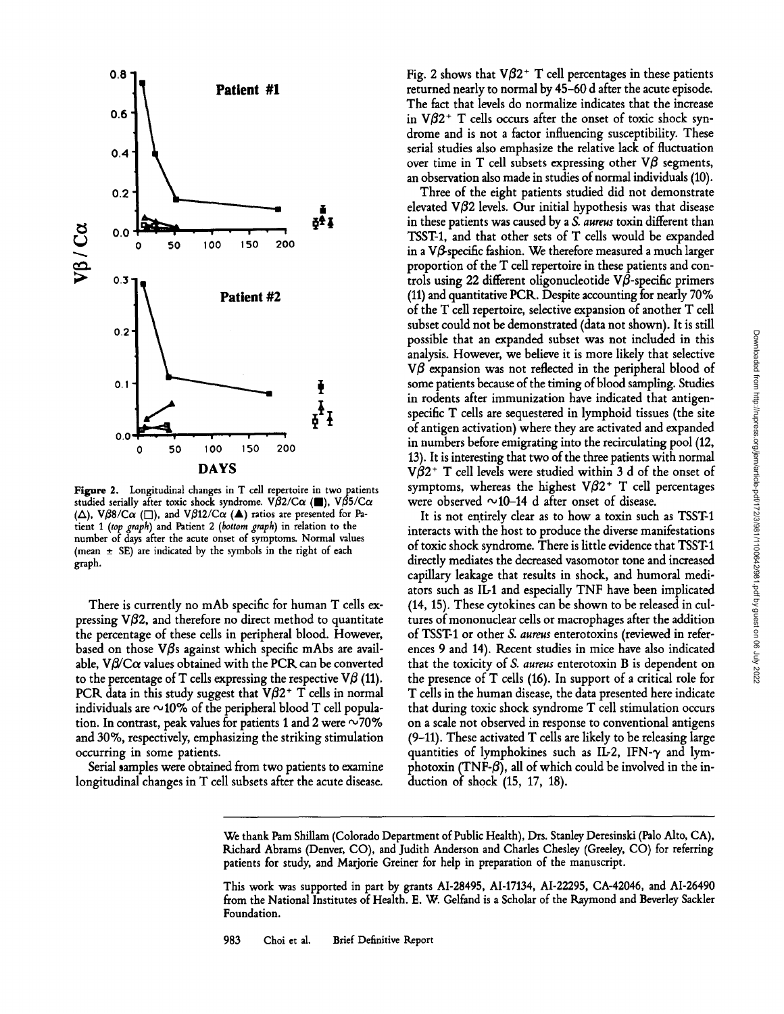

Figure 2. Longitudinal changes in T cell repertoire in two patients studied serially after toxic shock syndrome. V $\hat{\beta}$ 2/C $\alpha$  (.), V $\hat{\beta}$ 5/C $\alpha$ ( $\Delta$ ), V $\beta\beta$ /C $\alpha$  ( $\square$ ), and V $\beta$ 12/C $\alpha$  ( $\blacktriangle$ ) ratios are presented for Patient 1 (top graph) and Patient 2 (bottom graph) in relation to the number of days after the acute onset of symptoms. Normal values (mean  $\pm$  SE) are indicated by the symbols in the right of each graph .

There is currently no mAb specific for human T cells expressing  $V\beta2$ , and therefore no direct method to quantitate the percentage of these cells in peripheral blood. However, based on those  $\nabla\beta$ s against which specific mAbs are available,  $V\beta/C\alpha$  values obtained with the PCR can be converted to the percentage of T cells expressing the respective  $V\beta$  (11). PCR data in this study suggest that  $V\beta2^+$  T cells in normal individuals are  $\sim$ 10% of the peripheral blood T cell population. In contrast, peak values for patients 1 and 2 were  $\sim$ 70% and 30%, respectively, emphasizing the striking stimulation occurring in some patients.

Serial samples were obtained from two patients to examine longitudinal changes in T cell subsets after the acute disease.

Fig. 2 shows that  $V\beta2^+$  T cell percentages in these patients returned nearly to normal by 45-60 d after the acute episode. The fact that levels do normalize indicates that the increase in  $V\beta2$ <sup>+</sup> T cells occurs after the onset of toxic shock syndrome and is not <sup>a</sup> factor influencing susceptibility. These serial studies also emphasize the relative lack of fluctuation over time in T cell subsets expressing other  $\nabla\beta$  segments, an observation also made in studies of normal individuals (10) .

Three of the eight patients studied did not demonstrate elevated  $V\beta$ 2 levels. Our initial hypothesis was that disease in these patients was caused by <sup>a</sup> S. aureus toxin different than TSST1, and that other sets of T cells would be expanded in a  $V\beta$  specific fashion. We therefore measured a much larger proportion of the T cell repertoire in these patients and controls using 22 different oligonucleotide  $V\beta$ -specific primers (11) and quantitative PCR. Despite accounting for nearly 70% of the T cell repertoire, selective expansion of another T cell subset could not be demonstrated (data not shown). It is still possible that an expanded subset was not included in this analysis . However, we believe it is more likely that selective  $V\beta$  expansion was not reflected in the peripheral blood of some patients because of the timing of blood sampling. Studies in rodents after immunization have indicated that antigenspecific T cells are sequestered in lymphoid tissues (the site ofantigen activation) where they are activated and expanded in numbers before emigrating into the recirculating pool (12, 13). It is interesting that two of the three patients with normal  $V\beta2$ <sup>+</sup> T cell levels were studied within 3 d of the onset of symptoms, whereas the highest  $V\beta2^+$  T cell percentages were observed  $\sim$ 10-14 d after onset of disease.

It is not entirely clear as to how a toxin such as TSST-1 interacts with the host to produce the diverse manifestations of toxic shock syndrome. There is little evidence that TSST-1 directly mediates the decreased vasomotor tone and increased capillary leakage that results in shock, and humoral mediators such as IL-1 and especially TNF have been implicated (14, 15) . These cytokines can be shown to be released in cultures of mononuclear cells or macrophages after the addition of TSST1 or other S. aureus enterotoxins (reviewed in references 9 and 14) . Recent studies in mice have also indicated that the toxicity of S. aureus enterotoxin B is dependent on the presence of T cells (16). In support of a critical role for T cells in the human disease, the data presented here indicate that during toxic shock syndrome T cell stimulation occurs on a scale not observed in response to conventional antigens  $(9-11)$ . These activated T cells are likely to be releasing large quantities of lymphokines such as IL-2, IFN- $\gamma$  and lymphotoxin (TNF- $\beta$ ), all of which could be involved in the induction of shock (15, 17, 18).

We thank Pam Shillam (Colorado Department of Public Health), Drs. Stanley Deresinski (Palo Alto, CA), Richard Abrams (Denver, CO), and Judith Anderson and Charles Chesley (Greeley, CO) for referring patients for study, and Marjorie Greiner for help in preparation of the manuscript.

This work was supported in part by grants AI-28495, AI-17134, AI-22295, CA-42046, and AI-26490 from the National Institutes of Health. E. W. Gelfand is a Scholar of the Raymond and Beverley Sackler Foundation.

983 Choi et al. Brief Definitive Report